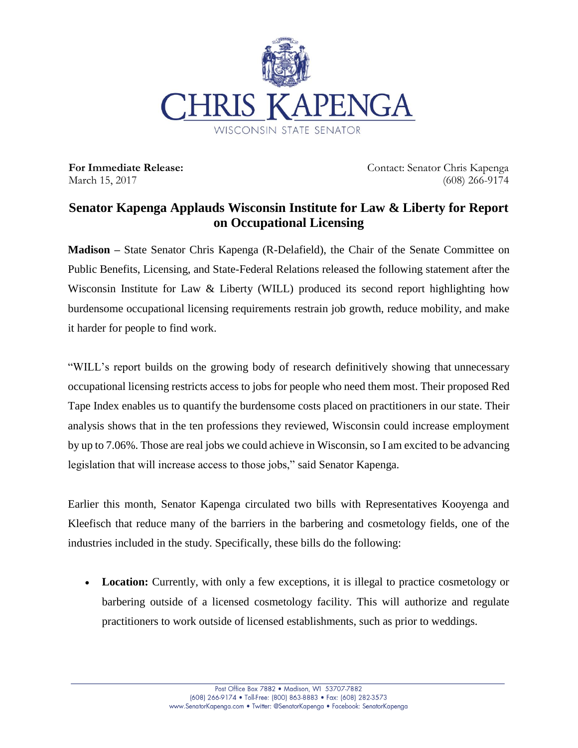

**For Immediate Release:** March 15, 2017

Contact: Senator Chris Kapenga (608) 266-9174

## **Senator Kapenga Applauds Wisconsin Institute for Law & Liberty for Report on Occupational Licensing**

**Madison –** State Senator Chris Kapenga (R-Delafield), the Chair of the Senate Committee on Public Benefits, Licensing, and State-Federal Relations released the following statement after the Wisconsin Institute for Law & Liberty (WILL) produced its second report highlighting how burdensome occupational licensing requirements restrain job growth, reduce mobility, and make it harder for people to find work.

"WILL's report builds on the growing body of research definitively showing that unnecessary occupational licensing restricts access to jobs for people who need them most. Their proposed Red Tape Index enables us to quantify the burdensome costs placed on practitioners in our state. Their analysis shows that in the ten professions they reviewed, Wisconsin could increase employment by up to 7.06%. Those are real jobs we could achieve in Wisconsin, so I am excited to be advancing legislation that will increase access to those jobs," said Senator Kapenga.

Earlier this month, Senator Kapenga circulated two bills with Representatives Kooyenga and Kleefisch that reduce many of the barriers in the barbering and cosmetology fields, one of the industries included in the study. Specifically, these bills do the following:

 **Location:** Currently, with only a few exceptions, it is illegal to practice cosmetology or barbering outside of a licensed cosmetology facility. This will authorize and regulate practitioners to work outside of licensed establishments, such as prior to weddings.